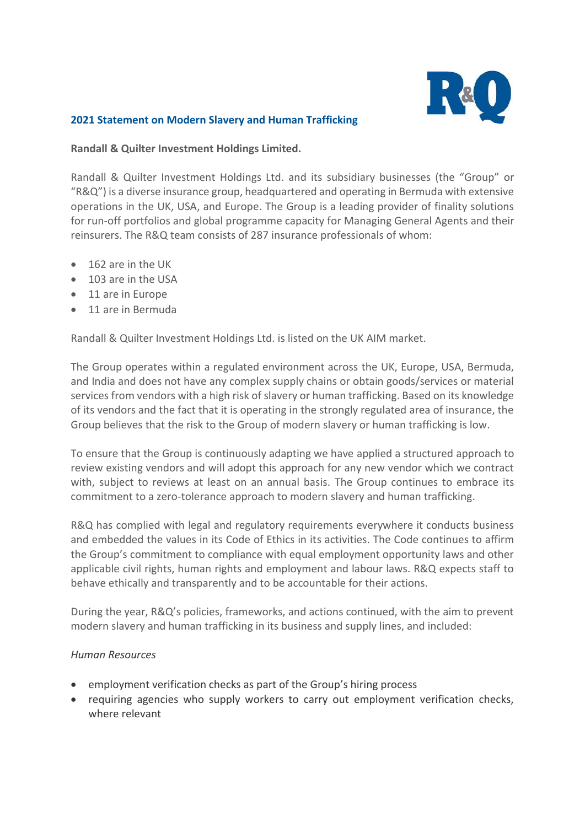

## **2021 Statement on Modern Slavery and Human Trafficking**

## **Randall & Quilter Investment Holdings Limited.**

Randall & Quilter Investment Holdings Ltd. and its subsidiary businesses (the "Group" or "R&Q") is a diverse insurance group, headquartered and operating in Bermuda with extensive operations in the UK, USA, and Europe. The Group is a leading provider of finality solutions for run-off portfolios and global programme capacity for Managing General Agents and their reinsurers. The R&Q team consists of 287 insurance professionals of whom:

- 162 are in the UK
- 103 are in the USA
- 11 are in Europe
- 11 are in Bermuda

Randall & Quilter Investment Holdings Ltd. is listed on the UK AIM market.

The Group operates within a regulated environment across the UK, Europe, USA, Bermuda, and India and does not have any complex supply chains or obtain goods/services or material services from vendors with a high risk of slavery or human trafficking. Based on its knowledge of its vendors and the fact that it is operating in the strongly regulated area of insurance, the Group believes that the risk to the Group of modern slavery or human trafficking is low.

To ensure that the Group is continuously adapting we have applied a structured approach to review existing vendors and will adopt this approach for any new vendor which we contract with, subject to reviews at least on an annual basis. The Group continues to embrace its commitment to a zero-tolerance approach to modern slavery and human trafficking.

R&Q has complied with legal and regulatory requirements everywhere it conducts business and embedded the values in its Code of Ethics in its activities. The Code continues to affirm the Group's commitment to compliance with equal employment opportunity laws and other applicable civil rights, human rights and employment and labour laws. R&Q expects staff to behave ethically and transparently and to be accountable for their actions.

During the year, R&Q's policies, frameworks, and actions continued, with the aim to prevent modern slavery and human trafficking in its business and supply lines, and included:

## *Human Resources*

- employment verification checks as part of the Group's hiring process
- requiring agencies who supply workers to carry out employment verification checks, where relevant